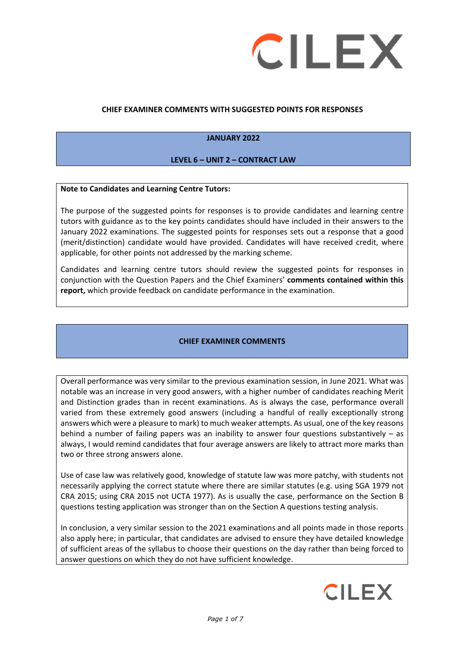

#### **CHIEF EXAMINER COMMENTS WITH SUGGESTED POINTS FOR RESPONSES**

#### **JANUARY 2022**

#### **LEVEL 6 – UNIT 2 – CONTRACT LAW**

#### **Note to Candidates and Learning Centre Tutors:**

The purpose of the suggested points for responses is to provide candidates and learning centre tutors with guidance as to the key points candidates should have included in their answers to the January 2022 examinations. The suggested points for responses sets out a response that a good (merit/distinction) candidate would have provided. Candidates will have received credit, where applicable, for other points not addressed by the marking scheme.

Candidates and learning centre tutors should review the suggested points for responses in conjunction with the Question Papers and the Chief Examiners' **comments contained within this report,** which provide feedback on candidate performance in the examination.

#### **CHIEF EXAMINER COMMENTS**

Overall performance was very similar to the previous examination session, in June 2021. What was notable was an increase in very good answers, with a higher number of candidates reaching Merit and Distinction grades than in recent examinations. As is always the case, performance overall varied from these extremely good answers (including a handful of really exceptionally strong answers which were a pleasure to mark) to much weaker attempts. As usual, one of the key reasons behind a number of failing papers was an inability to answer four questions substantively – as always, I would remind candidates that four average answers are likely to attract more marks than two or three strong answers alone.

Use of case law was relatively good, knowledge of statute law was more patchy, with students not necessarily applying the correct statute where there are similar statutes (e.g. using SGA 1979 not CRA 2015; using CRA 2015 not UCTA 1977). As is usually the case, performance on the Section B questions testing application was stronger than on the Section A questions testing analysis.

In conclusion, a very similar session to the 2021 examinations and all points made in those reports also apply here; in particular, that candidates are advised to ensure they have detailed knowledge of sufficient areas of the syllabus to choose their questions on the day rather than being forced to answer questions on which they do not have sufficient knowledge.

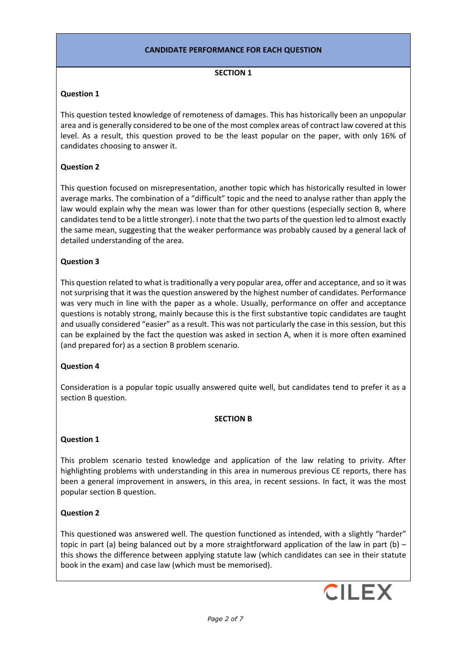# **CANDIDATE PERFORMANCE FOR EACH QUESTION**

#### **SECTION 1**

# **Question 1**

This question tested knowledge of remoteness of damages. This has historically been an unpopular area and is generally considered to be one of the most complex areas of contract law covered at this level. As a result, this question proved to be the least popular on the paper, with only 16% of candidates choosing to answer it.

# **Question 2**

This question focused on misrepresentation, another topic which has historically resulted in lower average marks. The combination of a "difficult" topic and the need to analyse rather than apply the law would explain why the mean was lower than for other questions (especially section B, where candidates tend to be a little stronger). I note that the two parts of the question led to almost exactly the same mean, suggesting that the weaker performance was probably caused by a general lack of detailed understanding of the area.

# **Question 3**

This question related to what is traditionally a very popular area, offer and acceptance, and so it was not surprising that it was the question answered by the highest number of candidates. Performance was very much in line with the paper as a whole. Usually, performance on offer and acceptance questions is notably strong, mainly because this is the first substantive topic candidates are taught and usually considered "easier" as a result. This was not particularly the case in this session, but this can be explained by the fact the question was asked in section A, when it is more often examined (and prepared for) as a section B problem scenario.

# **Question 4**

Consideration is a popular topic usually answered quite well, but candidates tend to prefer it as a section B question.

# **SECTION B**

# **Question 1**

This problem scenario tested knowledge and application of the law relating to privity. After highlighting problems with understanding in this area in numerous previous CE reports, there has been a general improvement in answers, in this area, in recent sessions. In fact, it was the most popular section B question.

# **Question 2**

This questioned was answered well. The question functioned as intended, with a slightly "harder" topic in part (a) being balanced out by a more straightforward application of the law in part (b) – this shows the difference between applying statute law (which candidates can see in their statute book in the exam) and case law (which must be memorised).

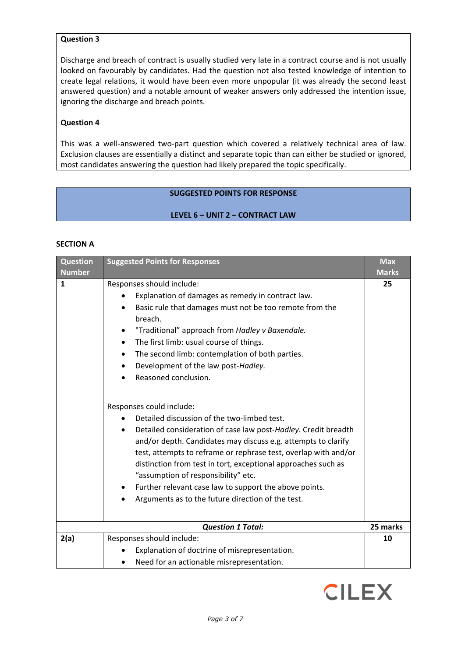#### **Question 3**

Discharge and breach of contract is usually studied very late in a contract course and is not usually looked on favourably by candidates. Had the question not also tested knowledge of intention to create legal relations, it would have been even more unpopular (it was already the second least answered question) and a notable amount of weaker answers only addressed the intention issue, ignoring the discharge and breach points.

#### **Question 4**

This was a well-answered two-part question which covered a relatively technical area of law. Exclusion clauses are essentially a distinct and separate topic than can either be studied or ignored, most candidates answering the question had likely prepared the topic specifically.

# **SUGGESTED POINTS FOR RESPONSE**

#### **LEVEL 6 – UNIT 2 – CONTRACT LAW**

#### **SECTION A**

| <b>Question</b><br><b>Number</b> | <b>Suggested Points for Responses</b>                                                                                                                                                                                                                                                                                                                                                                                                                                                                                                                                                                                                                                                                                                                                                                                                                                                                                                              | <b>Max</b><br><b>Marks</b> |
|----------------------------------|----------------------------------------------------------------------------------------------------------------------------------------------------------------------------------------------------------------------------------------------------------------------------------------------------------------------------------------------------------------------------------------------------------------------------------------------------------------------------------------------------------------------------------------------------------------------------------------------------------------------------------------------------------------------------------------------------------------------------------------------------------------------------------------------------------------------------------------------------------------------------------------------------------------------------------------------------|----------------------------|
| $\mathbf{1}$                     | Responses should include:<br>Explanation of damages as remedy in contract law.<br>Basic rule that damages must not be too remote from the<br>$\bullet$<br>breach.<br>"Traditional" approach from Hadley v Baxendale.<br>The first limb: usual course of things.<br>$\bullet$<br>The second limb: contemplation of both parties.<br>$\bullet$<br>Development of the law post-Hadley.<br>٠<br>Reasoned conclusion.<br>Responses could include:<br>Detailed discussion of the two-limbed test.<br>Detailed consideration of case law post-Hadley. Credit breadth<br>and/or depth. Candidates may discuss e.g. attempts to clarify<br>test, attempts to reframe or rephrase test, overlap with and/or<br>distinction from test in tort, exceptional approaches such as<br>"assumption of responsibility" etc.<br>Further relevant case law to support the above points.<br>$\bullet$<br>Arguments as to the future direction of the test.<br>$\bullet$ | 25                         |
|                                  | <b>Question 1 Total:</b>                                                                                                                                                                                                                                                                                                                                                                                                                                                                                                                                                                                                                                                                                                                                                                                                                                                                                                                           | 25 marks                   |
| 2(a)                             | Responses should include:<br>Explanation of doctrine of misrepresentation.<br>Need for an actionable misrepresentation.                                                                                                                                                                                                                                                                                                                                                                                                                                                                                                                                                                                                                                                                                                                                                                                                                            | 10                         |

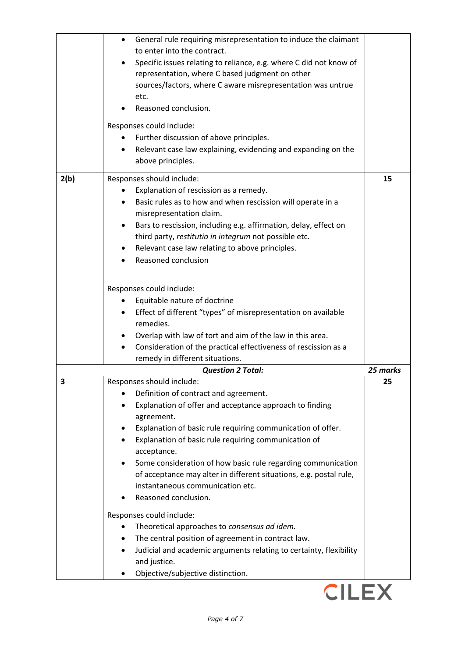|      | General rule requiring misrepresentation to induce the claimant<br>$\bullet$<br>to enter into the contract.<br>Specific issues relating to reliance, e.g. where C did not know of<br>representation, where C based judgment on other<br>sources/factors, where C aware misrepresentation was untrue<br>etc.<br>Reasoned conclusion.<br>Responses could include:<br>Further discussion of above principles.<br>Relevant case law explaining, evidencing and expanding on the         |          |
|------|-------------------------------------------------------------------------------------------------------------------------------------------------------------------------------------------------------------------------------------------------------------------------------------------------------------------------------------------------------------------------------------------------------------------------------------------------------------------------------------|----------|
|      | above principles.                                                                                                                                                                                                                                                                                                                                                                                                                                                                   |          |
| 2(b) | Responses should include:<br>Explanation of rescission as a remedy.<br>Basic rules as to how and when rescission will operate in a<br>misrepresentation claim.<br>Bars to rescission, including e.g. affirmation, delay, effect on<br>third party, restitutio in integrum not possible etc.<br>Relevant case law relating to above principles.<br>Reasoned conclusion                                                                                                               | 15       |
|      | Responses could include:                                                                                                                                                                                                                                                                                                                                                                                                                                                            |          |
|      | Equitable nature of doctrine<br>Effect of different "types" of misrepresentation on available                                                                                                                                                                                                                                                                                                                                                                                       |          |
|      | remedies.                                                                                                                                                                                                                                                                                                                                                                                                                                                                           |          |
|      | Overlap with law of tort and aim of the law in this area.                                                                                                                                                                                                                                                                                                                                                                                                                           |          |
|      | Consideration of the practical effectiveness of rescission as a<br>remedy in different situations.                                                                                                                                                                                                                                                                                                                                                                                  |          |
|      | <b>Question 2 Total:</b>                                                                                                                                                                                                                                                                                                                                                                                                                                                            | 25 marks |
| 3    | Responses should include:<br>Definition of contract and agreement.<br>Explanation of offer and acceptance approach to finding<br>agreement.<br>Explanation of basic rule requiring communication of offer.<br>Explanation of basic rule requiring communication of<br>acceptance.<br>Some consideration of how basic rule regarding communication<br>of acceptance may alter in different situations, e.g. postal rule,<br>instantaneous communication etc.<br>Reasoned conclusion. | 25       |
|      | Responses could include:<br>Theoretical approaches to consensus ad idem.                                                                                                                                                                                                                                                                                                                                                                                                            |          |
|      | The central position of agreement in contract law.<br>Judicial and academic arguments relating to certainty, flexibility<br>and justice.<br>Objective/subjective distinction.                                                                                                                                                                                                                                                                                                       |          |
|      |                                                                                                                                                                                                                                                                                                                                                                                                                                                                                     |          |

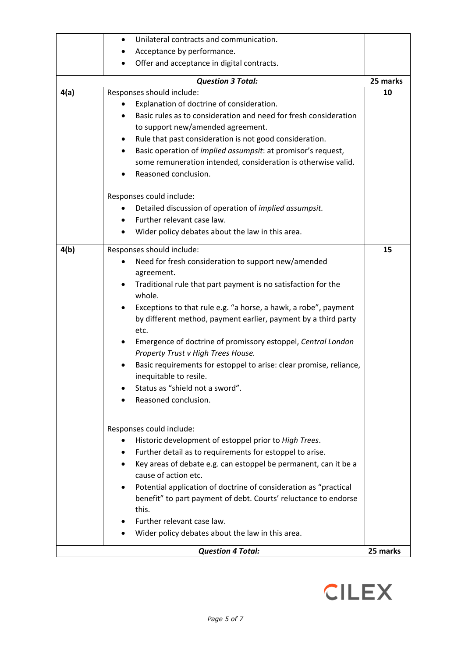|      | Unilateral contracts and communication.<br>$\bullet$                  |          |
|------|-----------------------------------------------------------------------|----------|
|      | Acceptance by performance.                                            |          |
|      | Offer and acceptance in digital contracts.                            |          |
|      | <b>Question 3 Total:</b>                                              | 25 marks |
| 4(a) | Responses should include:                                             | 10       |
|      | Explanation of doctrine of consideration.                             |          |
|      | Basic rules as to consideration and need for fresh consideration      |          |
|      | to support new/amended agreement.                                     |          |
|      | Rule that past consideration is not good consideration.               |          |
|      | Basic operation of <i>implied assumpsit</i> : at promisor's request,  |          |
|      | some remuneration intended, consideration is otherwise valid.         |          |
|      | Reasoned conclusion.<br>$\bullet$                                     |          |
|      | Responses could include:                                              |          |
|      | Detailed discussion of operation of <i>implied assumpsit</i> .        |          |
|      | Further relevant case law.<br>$\bullet$                               |          |
|      | Wider policy debates about the law in this area.<br>$\bullet$         |          |
| 4(b) | Responses should include:                                             | 15       |
|      | Need for fresh consideration to support new/amended                   |          |
|      | agreement.                                                            |          |
|      | Traditional rule that part payment is no satisfaction for the         |          |
|      | whole.                                                                |          |
|      | Exceptions to that rule e.g. "a horse, a hawk, a robe", payment       |          |
|      | by different method, payment earlier, payment by a third party        |          |
|      | etc.                                                                  |          |
|      | Emergence of doctrine of promissory estoppel, Central London<br>٠     |          |
|      | Property Trust v High Trees House.                                    |          |
|      | Basic requirements for estoppel to arise: clear promise, reliance,    |          |
|      | inequitable to resile.                                                |          |
|      | Status as "shield not a sword".<br>Reasoned conclusion.               |          |
|      |                                                                       |          |
|      | Responses could include:                                              |          |
|      | Historic development of estoppel prior to High Trees.<br>$\bullet$    |          |
|      | Further detail as to requirements for estoppel to arise.<br>$\bullet$ |          |
|      | Key areas of debate e.g. can estoppel be permanent, can it be a       |          |
|      | cause of action etc.                                                  |          |
|      | Potential application of doctrine of consideration as "practical<br>٠ |          |
|      | benefit" to part payment of debt. Courts' reluctance to endorse       |          |
|      | this.                                                                 |          |
|      | Further relevant case law.                                            |          |
|      | Wider policy debates about the law in this area.                      |          |
|      | <b>Question 4 Total:</b>                                              | 25 marks |

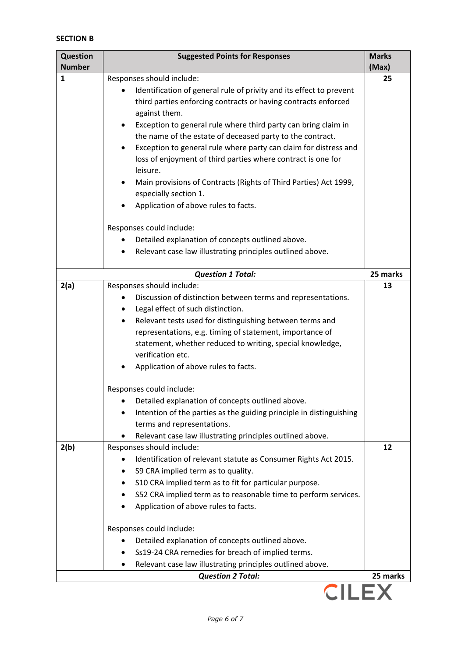# **SECTION B**

| <b>Question</b><br><b>Number</b> | <b>Suggested Points for Responses</b>                                                                   | <b>Marks</b><br>(Max) |  |
|----------------------------------|---------------------------------------------------------------------------------------------------------|-----------------------|--|
| 1                                | Responses should include:                                                                               | 25                    |  |
|                                  | Identification of general rule of privity and its effect to prevent                                     |                       |  |
|                                  | third parties enforcing contracts or having contracts enforced                                          |                       |  |
|                                  | against them.                                                                                           |                       |  |
|                                  | Exception to general rule where third party can bring claim in                                          |                       |  |
|                                  | the name of the estate of deceased party to the contract.                                               |                       |  |
|                                  | Exception to general rule where party can claim for distress and                                        |                       |  |
|                                  | loss of enjoyment of third parties where contract is one for                                            |                       |  |
|                                  | leisure.                                                                                                |                       |  |
|                                  | Main provisions of Contracts (Rights of Third Parties) Act 1999,                                        |                       |  |
|                                  | especially section 1.                                                                                   |                       |  |
|                                  | Application of above rules to facts.                                                                    |                       |  |
|                                  | Responses could include:                                                                                |                       |  |
|                                  | Detailed explanation of concepts outlined above.                                                        |                       |  |
|                                  | Relevant case law illustrating principles outlined above.                                               |                       |  |
|                                  |                                                                                                         |                       |  |
|                                  | <b>Question 1 Total:</b>                                                                                | 25 marks              |  |
| 2(a)                             | Responses should include:                                                                               | 13                    |  |
|                                  | Discussion of distinction between terms and representations.                                            |                       |  |
|                                  | Legal effect of such distinction.<br>٠<br>Relevant tests used for distinguishing between terms and<br>٠ |                       |  |
|                                  | representations, e.g. timing of statement, importance of                                                |                       |  |
|                                  | statement, whether reduced to writing, special knowledge,                                               |                       |  |
|                                  | verification etc.                                                                                       |                       |  |
|                                  | Application of above rules to facts.                                                                    |                       |  |
|                                  |                                                                                                         |                       |  |
|                                  | Responses could include:                                                                                |                       |  |
|                                  | Detailed explanation of concepts outlined above.                                                        |                       |  |
|                                  | Intention of the parties as the guiding principle in distinguishing                                     |                       |  |
|                                  | terms and representations.                                                                              |                       |  |
| 2(b)                             | Relevant case law illustrating principles outlined above.<br>Responses should include:                  | 12                    |  |
|                                  | Identification of relevant statute as Consumer Rights Act 2015.                                         |                       |  |
|                                  | S9 CRA implied term as to quality.                                                                      |                       |  |
|                                  | S10 CRA implied term as to fit for particular purpose.                                                  |                       |  |
|                                  | S52 CRA implied term as to reasonable time to perform services.                                         |                       |  |
|                                  | Application of above rules to facts.                                                                    |                       |  |
|                                  |                                                                                                         |                       |  |
|                                  | Responses could include:                                                                                |                       |  |
|                                  | Detailed explanation of concepts outlined above.<br>٠                                                   |                       |  |
|                                  | Ss19-24 CRA remedies for breach of implied terms.                                                       |                       |  |
|                                  | Relevant case law illustrating principles outlined above.                                               |                       |  |
|                                  | <b>Question 2 Total:</b>                                                                                | 25 marks              |  |
| <b>CILEX</b>                     |                                                                                                         |                       |  |